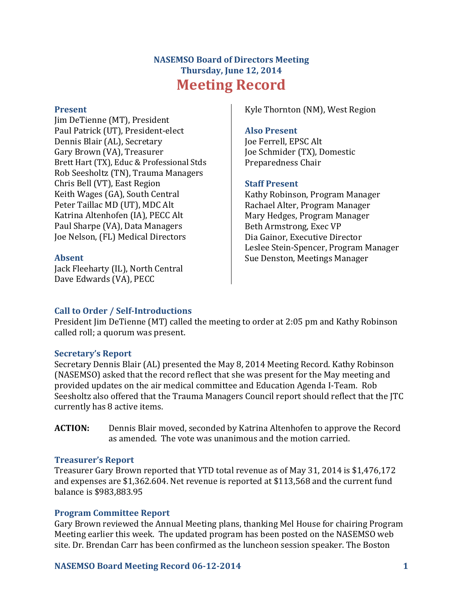# **NASEMSO Board of Directors Meeting Thursday, June 12, 2014 Meeting Record**

#### **Present**

Jim DeTienne (MT), President Paul Patrick (UT), President-elect Dennis Blair (AL), Secretary Gary Brown (VA), Treasurer Brett Hart (TX), Educ & Professional Stds Rob Seesholtz (TN), Trauma Managers Chris Bell (VT), East Region Keith Wages (GA), South Central Peter Taillac MD (UT), MDC Alt Katrina Altenhofen (IA), PECC Alt Paul Sharpe (VA), Data Managers Joe Nelson, (FL) Medical Directors

### **Absent**

Jack Fleeharty (IL), North Central Dave Edwards (VA), PECC

Kyle Thornton (NM), West Region

#### **Also Present**

Joe Ferrell, EPSC Alt Joe Schmider (TX), Domestic Preparedness Chair

### **Staff Present**

Kathy Robinson, Program Manager Rachael Alter, Program Manager Mary Hedges, Program Manager Beth Armstrong, Exec VP Dia Gainor, Executive Director Leslee Stein-Spencer, Program Manager Sue Denston, Meetings Manager

### **Call to Order / Self-Introductions**

President Jim DeTienne (MT) called the meeting to order at 2:05 pm and Kathy Robinson called roll; a quorum was present.

### **Secretary's Report**

Secretary Dennis Blair (AL) presented the May 8, 2014 Meeting Record. Kathy Robinson (NASEMSO) asked that the record reflect that she was present for the May meeting and provided updates on the air medical committee and Education Agenda I-Team. Rob Seesholtz also offered that the Trauma Managers Council report should reflect that the JTC currently has 8 active items.

**ACTION:** Dennis Blair moved, seconded by Katrina Altenhofen to approve the Record as amended. The vote was unanimous and the motion carried.

### **Treasurer's Report**

Treasurer Gary Brown reported that YTD total revenue as of May 31, 2014 is \$1,476,172 and expenses are \$1,362.604. Net revenue is reported at \$113,568 and the current fund balance is \$983,883.95

### **Program Committee Report**

Gary Brown reviewed the Annual Meeting plans, thanking Mel House for chairing Program Meeting earlier this week. The updated program has been posted on the NASEMSO web site. Dr. Brendan Carr has been confirmed as the luncheon session speaker. The Boston

### **NASEMSO Board Meeting Record 06-12-2014 1**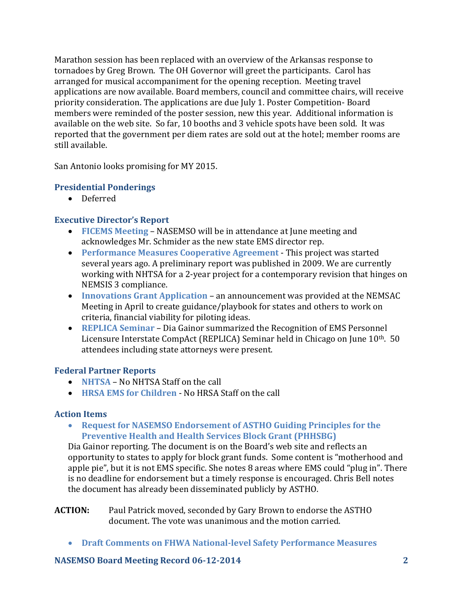Marathon session has been replaced with an overview of the Arkansas response to tornadoes by Greg Brown. The OH Governor will greet the participants. Carol has arranged for musical accompaniment for the opening reception. Meeting travel applications are now available. Board members, council and committee chairs, will receive priority consideration. The applications are due July 1. Poster Competition- Board members were reminded of the poster session, new this year. Additional information is available on the web site. So far, 10 booths and 3 vehicle spots have been sold. It was reported that the government per diem rates are sold out at the hotel; member rooms are still available.

San Antonio looks promising for MY 2015.

#### **Presidential Ponderings**

• Deferred

## **Executive Director's Report**

- **FICEMS Meeting** NASEMSO will be in attendance at June meeting and acknowledges Mr. Schmider as the new state EMS director rep.
- **Performance Measures Cooperative Agreement** This project was started several years ago. A preliminary report was published in 2009. We are currently working with NHTSA for a 2-year project for a contemporary revision that hinges on NEMSIS 3 compliance.
- **Innovations Grant Application** an announcement was provided at the NEMSAC Meeting in April to create guidance/playbook for states and others to work on criteria, financial viability for piloting ideas.
- **REPLICA Seminar** Dia Gainor summarized the Recognition of EMS Personnel Licensure Interstate CompAct (REPLICA) Seminar held in Chicago on June 10th. 50 attendees including state attorneys were present.

### **Federal Partner Reports**

- **NHTSA** No NHTSA Staff on the call
- **HRSA EMS for Children**  No HRSA Staff on the call

### **Action Items**

 **Request for NASEMSO Endorsement of ASTHO Guiding Principles for the Preventive Health and Health Services Block Grant (PHHSBG)**

Dia Gainor reporting. The document is on the Board's web site and reflects an opportunity to states to apply for block grant funds. Some content is "motherhood and apple pie", but it is not EMS specific. She notes 8 areas where EMS could "plug in". There is no deadline for endorsement but a timely response is encouraged. Chris Bell notes the document has already been disseminated publicly by ASTHO.

#### **ACTION:** Paul Patrick moved, seconded by Gary Brown to endorse the ASTHO document. The vote was unanimous and the motion carried.

**Draft Comments on FHWA National-level Safety Performance Measures**

### **NASEMSO Board Meeting Record 06-12-2014 2**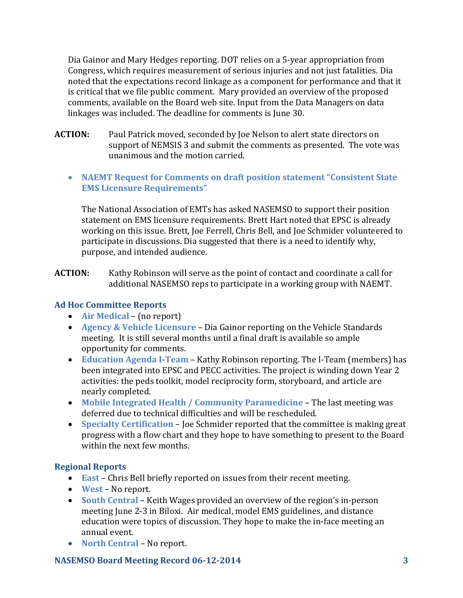Dia Gainor and Mary Hedges reporting. DOT relies on a 5-year appropriation from Congress, which requires measurement of serious injuries and not just fatalities. Dia noted that the expectations record linkage as a component for performance and that it is critical that we file public comment. Mary provided an overview of the proposed comments, available on the Board web site. Input from the Data Managers on data linkages was included. The deadline for comments is June 30.

- **ACTION:** Paul Patrick moved, seconded by Joe Nelson to alert state directors on support of NEMSIS 3 and submit the comments as presented. The vote was unanimous and the motion carried.
	- **NAEMT Request for Comments on draft position statement "Consistent State EMS Licensure Requirements"**

The National Association of EMTs has asked NASEMSO to support their position statement on EMS licensure requirements. Brett Hart noted that EPSC is already working on this issue. Brett, Joe Ferrell, Chris Bell, and Joe Schmider volunteered to participate in discussions. Dia suggested that there is a need to identify why, purpose, and intended audience.

**ACTION:** Kathy Robinson will serve as the point of contact and coordinate a call for additional NASEMSO reps to participate in a working group with NAEMT.

# **Ad Hoc Committee Reports**

- **Air Medical** (no report)
- **Agency & Vehicle Licensure**  Dia Gainor reporting on the Vehicle Standards meeting. It is still several months until a final draft is available so ample opportunity for comments.
- **Education Agenda I**-**Team** Kathy Robinson reporting. The I-Team (members) has been integrated into EPSC and PECC activities. The project is winding down Year 2 activities: the peds toolkit, model reciprocity form, storyboard, and article are nearly completed.
- **Mobile Integrated Health / Community Paramedicine The last meeting was** deferred due to technical difficulties and will be rescheduled.
- **Specialty Certification**  Joe Schmider reported that the committee is making great progress with a flow chart and they hope to have something to present to the Board within the next few months.

# **Regional Reports**

- **East** Chris Bell briefly reported on issues from their recent meeting.
- **West**  No report.
- **South Central**  Keith Wages provided an overview of the region's in-person meeting June 2-3 in Biloxi. Air medical, model EMS guidelines, and distance education were topics of discussion. They hope to make the in-face meeting an annual event.
- **North Central**  No report.

# **NASEMSO Board Meeting Record 06-12-2014 3**